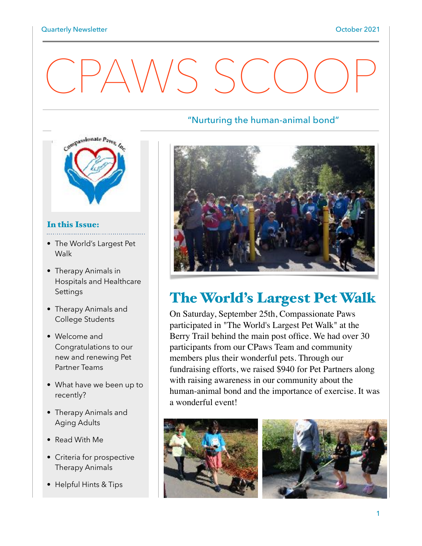# CPAWS SCO



#### In this Issue:

- The World's Largest Pet **Walk**
- Therapy Animals in Hospitals and Healthcare Settings
- Therapy Animals and College Students
- Welcome and Congratulations to our new and renewing Pet Partner Teams
- What have we been up to recently?
- Therapy Animals and Aging Adults
- Read With Me
- Criteria for prospective Therapy Animals
- Helpful Hints & Tips

#### "Nurturing the human-animal bond"



# The World's Largest Pet Walk

On Saturday, September 25th, Compassionate Paws participated in "The World's Largest Pet Walk" at the Berry Trail behind the main post office. We had over 30 participants from our CPaws Team and community members plus their wonderful pets. Through our fundraising efforts, we raised \$940 for Pet Partners along with raising awareness in our community about the human-animal bond and the importance of exercise. It was a wonderful event!



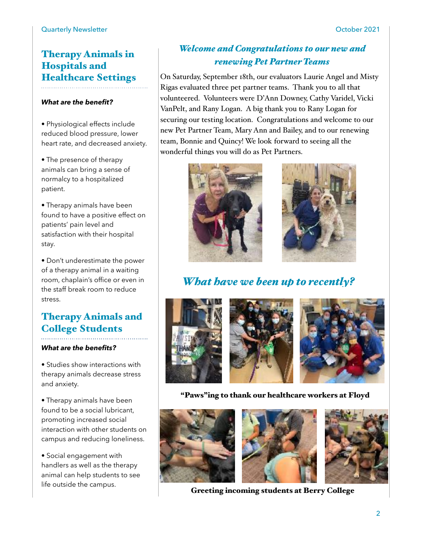# Therapy Animals in Hospitals and Healthcare Settings

#### *What are the benefit?*

• Physiological effects include reduced blood pressure, lower heart rate, and decreased anxiety.

• The presence of therapy animals can bring a sense of normalcy to a hospitalized patient.

• Therapy animals have been found to have a positive effect on patients' pain level and satisfaction with their hospital stay.

• Don't underestimate the power of a therapy animal in a waiting room, chaplain's office or even in the staff break room to reduce stress.

### Therapy Animals and College Students

#### *What are the benefits?*

• Studies show interactions with therapy animals decrease stress and anxiety.

• Therapy animals have been found to be a social lubricant, promoting increased social interaction with other students on campus and reducing loneliness.

• Social engagement with handlers as well as the therapy animal can help students to see life outside the campus.

### *Welcome and Congratulations to our new and renewing Pet Partner Teams*

On Saturday, September 18th, our evaluators Laurie Angel and Misty Rigas evaluated three pet partner teams. Thank you to all that volunteered. Volunteers were D'Ann Downey, Cathy Varidel, Vicki VanPelt, and Rany Logan. A big thank you to Rany Logan for securing our testing location. Congratulations and welcome to our new Pet Partner Team, Mary Ann and Bailey, and to our renewing team, Bonnie and Quincy! We look forward to seeing all the wonderful things you will do as Pet Partners.





*What have we been up to recently?*



"Paws"ing to thank our healthcare workers at Floyd



Greeting incoming students at Berry College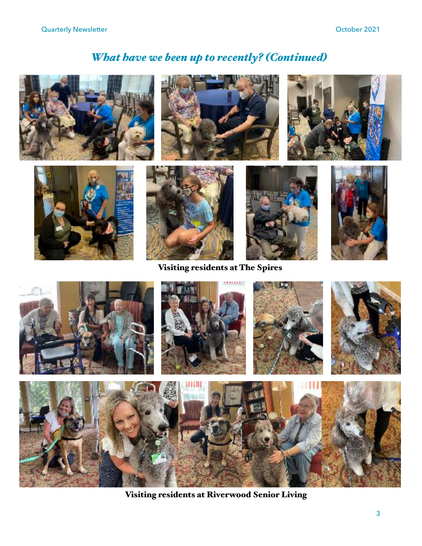# *What have we been up to recently? (Continued)*



Visiting residents at Riverwood Senior Living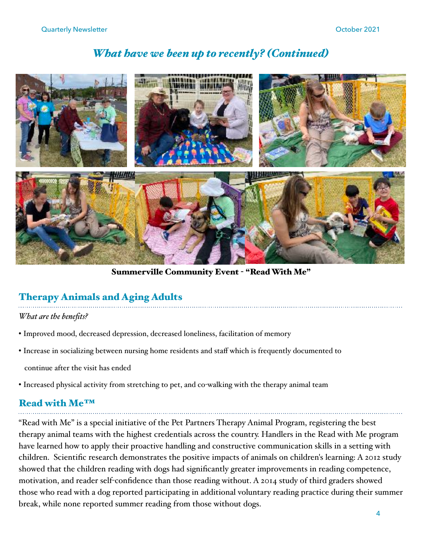# *What have we been up to recently? (Continued)*



Summerville Community Event - "Read With Me"

## Therapy Animals and Aging Adults

*What are the benefits?* 

- Improved mood, decreased depression, decreased loneliness, facilitation of memory
- Increase in socializing between nursing home residents and staff which is frequently documented to

continue after the visit has ended

• Increased physical activity from stretching to pet, and co-walking with the therapy animal team

# Read with Me™

"Read with Me" is a special initiative of the Pet Partners Therapy Animal Program, registering the best therapy animal teams with the highest credentials across the country. Handlers in the Read with Me program have learned how to apply their proactive handling and constructive communication skills in a setting with children. Scientific research demonstrates the positive impacts of animals on children's learning: A 2012 study showed that the children reading with dogs had significantly greater improvements in reading competence, motivation, and reader self-confidence than those reading without. A 2014 study of third graders showed those who read with a dog reported participating in additional voluntary reading practice during their summer break, while none reported summer reading from those without dogs.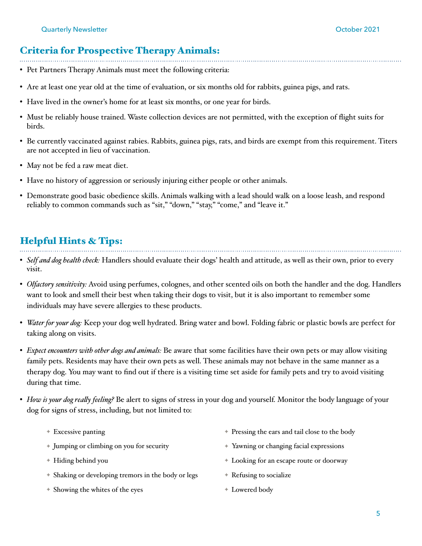#### Criteria for Prospective Therapy Animals:

- Pet Partners Therapy Animals must meet the following criteria:
- Are at least one year old at the time of evaluation, or six months old for rabbits, guinea pigs, and rats.
- Have lived in the owner's home for at least six months, or one year for birds.
- Must be reliably house trained. Waste collection devices are not permitted, with the exception of flight suits for birds.
- Be currently vaccinated against rabies. Rabbits, guinea pigs, rats, and birds are exempt from this requirement. Titers are not accepted in lieu of vaccination.
- May not be fed a raw meat diet.
- Have no history of aggression or seriously injuring either people or other animals.
- Demonstrate good basic obedience skills. Animals walking with a lead should walk on a loose leash, and respond reliably to common commands such as "sit," "down," "stay," "come," and "leave it."

### Helpful Hints & Tips:

- *Self and dog health check:* Handlers should evaluate their dogs' health and attitude, as well as their own, prior to every visit.
- *Olfactory sensitivity:* Avoid using perfumes, colognes, and other scented oils on both the handler and the dog. Handlers want to look and smell their best when taking their dogs to visit, but it is also important to remember some individuals may have severe allergies to these products.
- *Water for your dog:* Keep your dog well hydrated. Bring water and bowl. Folding fabric or plastic bowls are perfect for taking along on visits.
- *Expect encounters with other dogs and animals:* Be aware that some facilities have their own pets or may allow visiting family pets. Residents may have their own pets as well. These animals may not behave in the same manner as a therapy dog. You may want to find out if there is a visiting time set aside for family pets and try to avoid visiting during that time.
- *How is your dog really feeling?* Be alert to signs of stress in your dog and yourself. Monitor the body language of your dog for signs of stress, including, but not limited to:
	- ✦ Excessive panting ✦ Pressing the ears and tail close to the body
		- ✦ Jumping or climbing on you for security
		- ✦ Hiding behind you
		- ✦ Shaking or developing tremors in the body or legs
		- ✦ Showing the whites of the eyes
- ✦ Yawning or changing facial expressions
- ✦ Looking for an escape route or doorway
- ✦ Refusing to socialize
- ✦ Lowered body